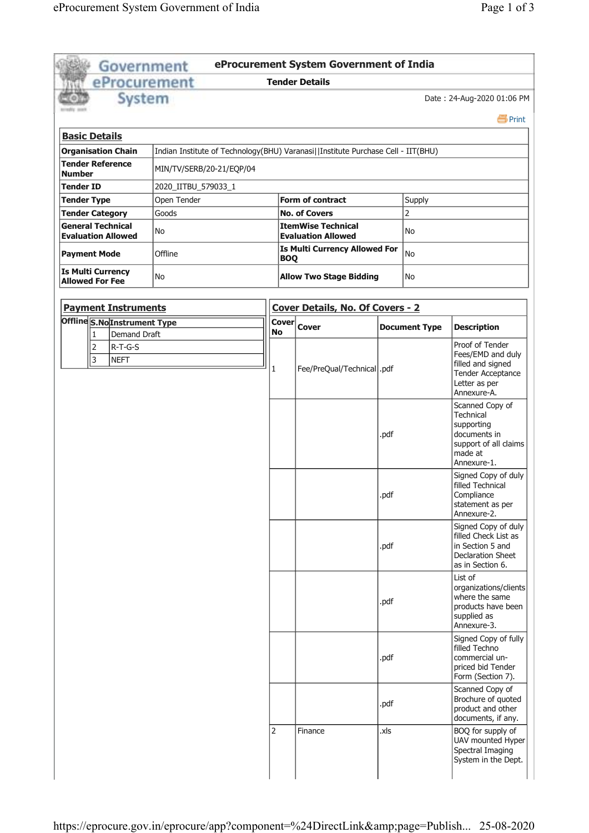| Government                                                                                                                                               |                     |                           | eProcurement System Government of India         |      |                      |                                                                                                                |  |  |  |
|----------------------------------------------------------------------------------------------------------------------------------------------------------|---------------------|---------------------------|-------------------------------------------------|------|----------------------|----------------------------------------------------------------------------------------------------------------|--|--|--|
| eProcurement                                                                                                                                             |                     |                           | <b>Tender Details</b>                           |      |                      |                                                                                                                |  |  |  |
| System                                                                                                                                                   |                     |                           |                                                 |      |                      | Date: 24-Aug-2020 01:06 PM<br><b>昌</b> Print                                                                   |  |  |  |
| <b>Basic Details</b>                                                                                                                                     |                     |                           |                                                 |      |                      |                                                                                                                |  |  |  |
| <b>Organisation Chain</b>                                                                                                                                |                     |                           |                                                 |      |                      |                                                                                                                |  |  |  |
| Indian Institute of Technology(BHU) Varanasi  Institute Purchase Cell - IIT(BHU)<br><b>Tender Reference</b><br>MIN/TV/SERB/20-21/EQP/04<br><b>Number</b> |                     |                           |                                                 |      |                      |                                                                                                                |  |  |  |
| <b>Tender ID</b>                                                                                                                                         | 2020_IITBU_579033_1 |                           |                                                 |      |                      |                                                                                                                |  |  |  |
| <b>Tender Type</b>                                                                                                                                       | Open Tender         |                           | <b>Form of contract</b><br>Supply               |      |                      |                                                                                                                |  |  |  |
| <b>Tender Category</b>                                                                                                                                   | Goods               |                           | <b>No. of Covers</b>                            |      | $\overline{2}$       |                                                                                                                |  |  |  |
| <b>General Technical</b><br><b>Evaluation Allowed</b>                                                                                                    | No                  |                           | ItemWise Technical<br><b>Evaluation Allowed</b> | No   |                      |                                                                                                                |  |  |  |
| <b>Payment Mode</b>                                                                                                                                      | Offline             | <b>BOQ</b>                | Is Multi Currency Allowed For                   | No   |                      |                                                                                                                |  |  |  |
| <b>Is Multi Currency</b><br><b>Allowed For Fee</b>                                                                                                       | No                  |                           | <b>Allow Two Stage Bidding</b>                  |      | No                   |                                                                                                                |  |  |  |
| <b>Payment Instruments</b>                                                                                                                               |                     |                           | Cover Details, No. Of Covers - 2                |      |                      |                                                                                                                |  |  |  |
| <b>Offline S.No Instrument Type</b><br><b>Demand Draft</b><br>1                                                                                          |                     | <b>Cover</b><br><b>No</b> | <b>Cover</b>                                    |      | <b>Document Type</b> | <b>Description</b>                                                                                             |  |  |  |
| 2<br>$R-T-G-S$<br>3<br><b>NEFT</b>                                                                                                                       |                     | 1                         | Fee/PreQual/Technical  .pdf                     |      |                      | Proof of Tender<br>Fees/EMD and duly<br>filled and signed<br>Tender Acceptance<br>Letter as per<br>Annexure-A. |  |  |  |
|                                                                                                                                                          |                     |                           |                                                 | .pdf |                      | Scanned Copy of<br>Technical<br>supporting<br>documents in<br>support of all claims<br>made at<br>Annexure-1.  |  |  |  |
|                                                                                                                                                          |                     |                           |                                                 | .pdf |                      | Signed Copy of duly<br>filled Technical<br>Compliance<br>statement as per<br>Annexure-2.                       |  |  |  |
|                                                                                                                                                          |                     |                           |                                                 | .pdf |                      | Signed Copy of duly<br>filled Check List as<br>in Section 5 and<br>Declaration Sheet<br>as in Section 6.       |  |  |  |
|                                                                                                                                                          |                     |                           |                                                 | .pdf |                      | List of<br>organizations/clients<br>where the same<br>products have been<br>supplied as<br>Annexure-3.         |  |  |  |
|                                                                                                                                                          |                     |                           |                                                 | .pdf |                      | Signed Copy of fully<br>filled Techno<br>commercial un-<br>priced bid Tender<br>Form (Section 7).              |  |  |  |
|                                                                                                                                                          |                     |                           |                                                 | .pdf |                      | Scanned Copy of<br>Brochure of quoted<br>product and other<br>documents, if any.                               |  |  |  |
|                                                                                                                                                          |                     | 2                         | Finance                                         | .xls |                      | BOQ for supply of<br>UAV mounted Hyper<br>Spectral Imaging<br>System in the Dept.                              |  |  |  |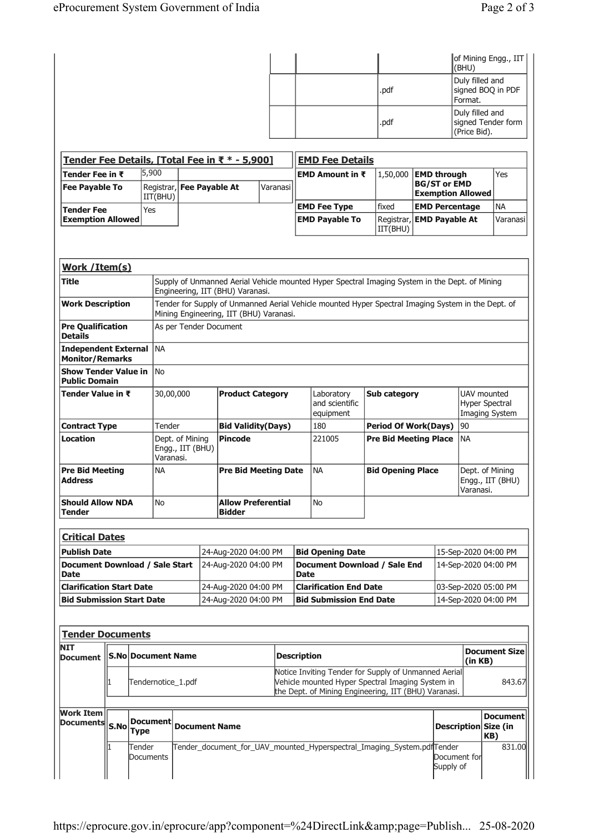|                                                       |                                                                                   |                     |                               |                                                                                                                                                                         |  |                                         |  |                    |                                                                                                                                                                                                      |                              |                      |                                              | (BHU)                                                  | of Mining Engg., IIT                  |  |
|-------------------------------------------------------|-----------------------------------------------------------------------------------|---------------------|-------------------------------|-------------------------------------------------------------------------------------------------------------------------------------------------------------------------|--|-----------------------------------------|--|--------------------|------------------------------------------------------------------------------------------------------------------------------------------------------------------------------------------------------|------------------------------|----------------------|----------------------------------------------|--------------------------------------------------------|---------------------------------------|--|
|                                                       |                                                                                   |                     |                               |                                                                                                                                                                         |  |                                         |  |                    |                                                                                                                                                                                                      | .pdf                         |                      |                                              | Duly filled and<br>Format.                             | signed BOQ in PDF                     |  |
|                                                       |                                                                                   |                     |                               |                                                                                                                                                                         |  |                                         |  |                    |                                                                                                                                                                                                      | .pdf                         |                      |                                              | (Price Bid).                                           | Duly filled and<br>signed Tender form |  |
| Tender Fee Details, [Total Fee in ₹ * - 5,900]        |                                                                                   |                     |                               |                                                                                                                                                                         |  |                                         |  |                    | <b>EMD Fee Details</b>                                                                                                                                                                               |                              |                      |                                              |                                                        |                                       |  |
| Tender Fee in ₹<br><b>Fee Payable To</b>              |                                                                                   |                     | 5,900                         | <b>EMD Amount in <math>\bar{x}</math></b><br>1,50,000<br><b>EMD through</b><br><b>BG/ST or EMD</b><br>Registrar, Fee Payable At<br>Varanasi<br><b>Exemption Allowed</b> |  |                                         |  |                    |                                                                                                                                                                                                      |                              |                      |                                              | Yes                                                    |                                       |  |
|                                                       |                                                                                   |                     | IIT(BHU)                      | fixed<br><b>EMD Fee Type</b>                                                                                                                                            |  |                                         |  |                    |                                                                                                                                                                                                      | <b>EMD Percentage</b>        |                      | <b>NA</b>                                    |                                                        |                                       |  |
|                                                       | Yes<br><b>Tender Fee</b><br><b>Exemption Allowed</b>                              |                     |                               |                                                                                                                                                                         |  |                                         |  |                    | <b>EMD Payable To</b>                                                                                                                                                                                | Registrar,<br>IIT(BHU)       |                      | <b>EMD Payable At</b>                        |                                                        | Varanasi                              |  |
| Work /Item(s)                                         |                                                                                   |                     |                               |                                                                                                                                                                         |  |                                         |  |                    |                                                                                                                                                                                                      |                              |                      |                                              |                                                        |                                       |  |
| Title                                                 |                                                                                   |                     |                               |                                                                                                                                                                         |  |                                         |  |                    |                                                                                                                                                                                                      |                              |                      |                                              |                                                        |                                       |  |
| <b>Work Description</b>                               |                                                                                   |                     |                               |                                                                                                                                                                         |  | Engineering, IIT (BHU) Varanasi.        |  |                    | Supply of Unmanned Aerial Vehicle mounted Hyper Spectral Imaging System in the Dept. of Mining<br>Tender for Supply of Unmanned Aerial Vehicle mounted Hyper Spectral Imaging System in the Dept. of |                              |                      |                                              |                                                        |                                       |  |
|                                                       |                                                                                   |                     |                               |                                                                                                                                                                         |  | Mining Engineering, IIT (BHU) Varanasi. |  |                    |                                                                                                                                                                                                      |                              |                      |                                              |                                                        |                                       |  |
| <b>Pre Qualification</b><br><b>Details</b>            |                                                                                   |                     |                               |                                                                                                                                                                         |  | As per Tender Document                  |  |                    |                                                                                                                                                                                                      |                              |                      |                                              |                                                        |                                       |  |
| <b>Independent External</b><br><b>Monitor/Remarks</b> |                                                                                   |                     | <b>NA</b>                     |                                                                                                                                                                         |  |                                         |  |                    |                                                                                                                                                                                                      |                              |                      |                                              |                                                        |                                       |  |
| <b>Show Tender Value in</b><br><b>Public Domain</b>   |                                                                                   |                     | <b>No</b>                     |                                                                                                                                                                         |  |                                         |  |                    |                                                                                                                                                                                                      |                              |                      |                                              |                                                        |                                       |  |
| Tender Value in ₹                                     |                                                                                   |                     | 30,00,000                     |                                                                                                                                                                         |  | <b>Product Category</b>                 |  |                    | Laboratory<br>and scientific<br>equipment                                                                                                                                                            | Sub category                 |                      |                                              | UAV mounted<br><b>Hyper Spectral</b><br>Imaging System |                                       |  |
| <b>Contract Type</b>                                  |                                                                                   |                     | Tender                        |                                                                                                                                                                         |  | <b>Bid Validity(Days)</b>               |  |                    | 180                                                                                                                                                                                                  | <b>Period Of Work(Days)</b>  |                      |                                              | 90                                                     |                                       |  |
| Location                                              |                                                                                   |                     | Engg., IIT (BHU)<br>Varanasi. | Dept. of Mining                                                                                                                                                         |  | <b>Pincode</b>                          |  |                    | 221005                                                                                                                                                                                               | <b>Pre Bid Meeting Place</b> |                      |                                              | <b>NA</b>                                              |                                       |  |
| <b>Pre Bid Meeting</b><br><b>Address</b>              |                                                                                   |                     | <b>NA</b>                     |                                                                                                                                                                         |  | <b>Pre Bid Meeting Date</b>             |  |                    | <b>NA</b>                                                                                                                                                                                            | <b>Bid Opening Place</b>     |                      |                                              | Dept. of Mining<br>Engg., IIT (BHU)<br>Varanasi.       |                                       |  |
| <b>Tender</b>                                         | <b>Should Allow NDA</b><br>No<br><b>Allow Preferential</b><br>No<br><b>Bidder</b> |                     |                               |                                                                                                                                                                         |  |                                         |  |                    |                                                                                                                                                                                                      |                              |                      |                                              |                                                        |                                       |  |
| <b>Critical Dates</b>                                 |                                                                                   |                     |                               |                                                                                                                                                                         |  |                                         |  |                    |                                                                                                                                                                                                      |                              |                      |                                              |                                                        |                                       |  |
| <b>Publish Date</b>                                   |                                                                                   |                     |                               |                                                                                                                                                                         |  | 24-Aug-2020 04:00 PM                    |  |                    | <b>Bid Opening Date</b>                                                                                                                                                                              |                              |                      |                                              |                                                        | 15-Sep-2020 04:00 PM                  |  |
| Document Download / Sale Start<br><b>Date</b>         |                                                                                   |                     |                               | 24-Aug-2020 04:00 PM<br>Document Download / Sale End<br><b>Date</b>                                                                                                     |  |                                         |  |                    | 14-Sep-2020 04:00 PM                                                                                                                                                                                 |                              |                      |                                              |                                                        |                                       |  |
| <b>Clarification Start Date</b>                       |                                                                                   |                     |                               |                                                                                                                                                                         |  | 24-Aug-2020 04:00 PM                    |  |                    | <b>Clarification End Date</b><br><b>Bid Submission End Date</b>                                                                                                                                      |                              |                      | 03-Sep-2020 05:00 PM<br>14-Sep-2020 04:00 PM |                                                        |                                       |  |
| <b>Bid Submission Start Date</b>                      |                                                                                   |                     |                               |                                                                                                                                                                         |  | 24-Aug-2020 04:00 PM                    |  |                    |                                                                                                                                                                                                      |                              |                      |                                              |                                                        |                                       |  |
|                                                       |                                                                                   |                     |                               |                                                                                                                                                                         |  |                                         |  |                    |                                                                                                                                                                                                      |                              |                      |                                              |                                                        |                                       |  |
| <b>Tender Documents</b>                               |                                                                                   |                     |                               |                                                                                                                                                                         |  |                                         |  |                    |                                                                                                                                                                                                      |                              |                      |                                              |                                                        |                                       |  |
| <b>NIT</b><br>Document   S.No Document Name           |                                                                                   |                     |                               |                                                                                                                                                                         |  |                                         |  | <b>Description</b> |                                                                                                                                                                                                      |                              |                      |                                              | <b>Document Size</b><br>(in KB)                        |                                       |  |
|                                                       |                                                                                   |                     |                               | Tendernotice_1.pdf                                                                                                                                                      |  |                                         |  |                    | Notice Inviting Tender for Supply of Unmanned Aerial<br>Vehicle mounted Hyper Spectral Imaging System in<br>the Dept. of Mining Engineering, IIT (BHU) Varanasi.                                     |                              |                      |                                              | 843.67                                                 |                                       |  |
| <b>Work Item</b><br>Documents S.No                    |                                                                                   | <b>Type</b>         | Document                      | <b>Document Name</b>                                                                                                                                                    |  |                                         |  |                    |                                                                                                                                                                                                      |                              | Description Size (in |                                              | <b>Document</b><br>KB)                                 |                                       |  |
|                                                       |                                                                                   | Tender<br>Documents |                               |                                                                                                                                                                         |  |                                         |  |                    | Tender_document_for_UAV_mounted_Hyperspectral_Imaging_System.pdfTender                                                                                                                               |                              |                      | Document for<br>Supply of                    |                                                        | 831.00                                |  |